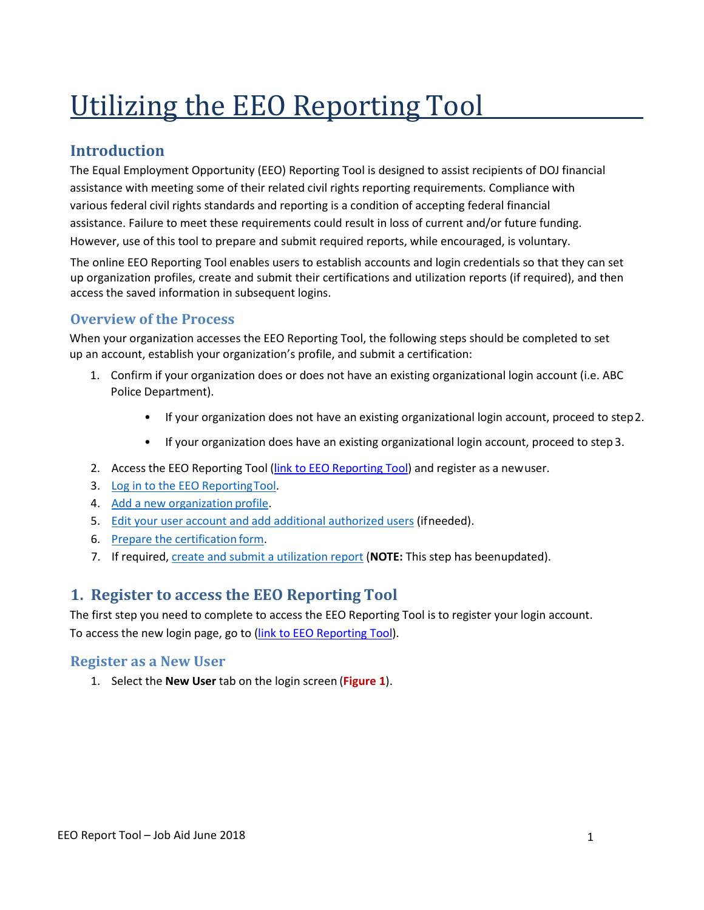# Utilizing the EEO Reporting Tool

# **Introduction**

The Equal Employment Opportunity (EEO) Reporting Tool is designed to assist recipients of DOJ financial assistance with meeting some of their related civil rights reporting requirements. Compliance with various federal civil rights standards and reporting is a condition of accepting federal financial assistance. Failure to meet these requirements could result in loss of current and/or future funding. However, use of this tool to prepare and submit required reports, while encouraged, is voluntary.

The online EEO Reporting Tool enables users to establish accounts and login credentials so that they can set up organization profiles, create and submit their certifications and utilization reports (if required), and then access the saved information in subsequent logins.

## **Overview of the Process**

When your organization accesses the EEO Reporting Tool, the following steps should be completed to set up an account, establish your organization's profile, and submit a certification:

- 1. Confirm if your organization does or does not have an existing organizational login account (i.e. ABC Police Department).
	- If your organization does not have an existing organizational login account, proceed to step2.
	- If your organization does have an existing organizational login account, proceed to step 3.
- 2. Access the EEO [Reporting](https://ocr-eeop.ncjrs.gov/) Tool (link to EEO Reporting Tool) and register as a newuser.
- 3. [Log in to the EEO ReportingTool.](#page-1-0)
- 4. [Add a new organization](#page-2-0) profile.
- 5. [Edit your user account and add additional authorized users](#page-3-0) (ifneeded).
- 6. [Prepare the certification](#page-5-0) form.
- 7. If required, [create and submit a utilization report](#page-10-0) (**NOTE:** This step has beenupdated).

# **1. Register to access the EEO Reporting Tool**

The first step you need to complete to access the EEO Reporting Tool is to register your login account. To access the new login page, go to [\(link to EEO Reporting Tool\)](https://ocr-eeop.ncjrs.gov/).

#### **Register as a New User**

1. Select the **New User** tab on the login screen (**Figure 1**).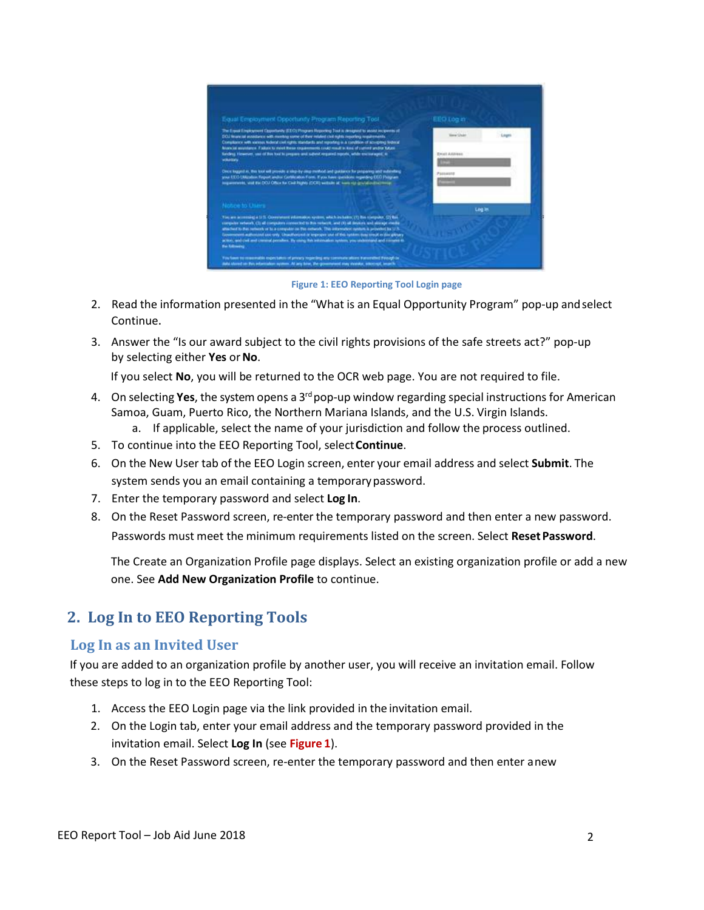| Equal Employment Opportunity Program Reporting Tool                                                                                                                                                                                                                                                                                                                                                                                                                                                                                                   | EEO Log in     |        |
|-------------------------------------------------------------------------------------------------------------------------------------------------------------------------------------------------------------------------------------------------------------------------------------------------------------------------------------------------------------------------------------------------------------------------------------------------------------------------------------------------------------------------------------------------------|----------------|--------|
| The Expan Employment Opportunity (EEO) Program Heponing Tool is designed to assist incipants at<br>CIOJ financial accordance with membra come of their intaked civil highly reporting requirements.<br>Complexion with various technol and rights identicable and reporting is a condition of accepting between<br>Niam of evolvings. Failure to meet these significantes could result in kind of statistic and/or future                                                                                                                             | <b>Service</b> | Logità |
| funding However, use of this books prepare and submit required reports, while enclosing of its<br><b>Wilkelawy</b>                                                                                                                                                                                                                                                                                                                                                                                                                                    | Email Address  |        |
| Crear logged as, this look will provide a sing-by any motivatiant guidance for propering and submitting<br>you EEO CMaaloo Report and/or Certification Form. If you have questions regarding EEO Pringram.<br>Imparements, visit the DOJ Office for Civil Highly (DOR) with the late visit grid attending major                                                                                                                                                                                                                                       | Pansautz       |        |
| Notice to Users                                                                                                                                                                                                                                                                                                                                                                                                                                                                                                                                       | Ling Im        |        |
| You are accessing a 12 S. Covenance adversion system, which includes (2) his computer. (2) Net<br>computer network, (3) all computers connected to this network, and (4) all desture, and alonge inside<br>alterbed to the network of to a computer on the entered. The interrulent system is provided for U.S.<br>Experienced addition and only. Unauthorized or exproper use of this lighters backled in disciplinary<br>action, and call and central periodies. By cause the intrinsien system, you understand and consent to<br><b>Be Milmerg</b> |                |        |
| Tou base to massivable expectation of privacy togething any convenies about thereoffed through in<br>itabi showd an this information system. At any briat, the government may manitur, interrupt, leagely                                                                                                                                                                                                                                                                                                                                             |                |        |

**Figure 1: EEO Reporting Tool Login page**

- 2. Read the information presented in the "What is an Equal Opportunity Program" pop-up andselect Continue.
- 3. Answer the "Is our award subject to the civil rights provisions of the safe streets act?" pop-up by selecting either **Yes** or**No**.

If you select **No**, you will be returned to the OCR web page. You are not required to file.

- 4. On selecting **Yes**, the system opens a 3rd pop-up window regarding special instructions for American Samoa, Guam, Puerto Rico, the Northern Mariana Islands, and the U.S. Virgin Islands.
	- a. If applicable, select the name of your jurisdiction and follow the process outlined.
- 5. To continue into the EEO Reporting Tool, select**Continue**.
- 6. On the New User tab of the EEO Login screen, enter your email address and select **Submit**. The system sends you an email containing a temporarypassword.
- 7. Enter the temporary password and select **Log In**.
- 8. On the Reset Password screen, re-enter the temporary password and then enter a new password. Passwords must meet the minimum requirements listed on the screen. Select **ResetPassword**.

The Create an Organization Profile page displays. Select an existing organization profile or add a new one. See **Add New Organization Profile** to continue.

## <span id="page-1-0"></span>**2. Log In to EEO Reporting Tools**

#### **Log In as an Invited User**

If you are added to an organization profile by another user, you will receive an invitation email. Follow these steps to log in to the EEO Reporting Tool:

- 1. Access the EEO Login page via the link provided in the invitation email.
- 2. On the Login tab, enter your email address and the temporary password provided in the invitation email. Select **Log In** (see **Figure 1**).
- 3. On the Reset Password screen, re-enter the temporary password and then enter anew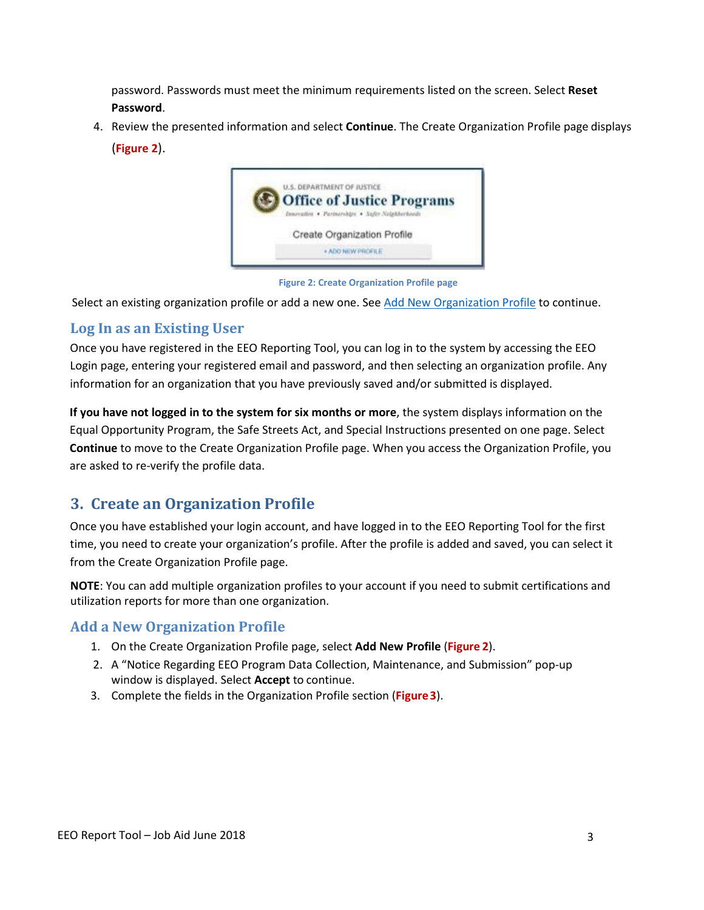password. Passwords must meet the minimum requirements listed on the screen. Select **Reset Password**.

4. Review the presented information and select **Continue**. The Create Organization Profile page displays (**Figure 2**).



**Figure 2: Create Organization Profile page**

Select an existing organization profile or add a new one. See Add New [Organization Profile](#page-2-0) to continue.

## **Log In as an Existing User**

Once you have registered in the EEO Reporting Tool, you can log in to the system by accessing the EEO Login page, entering your registered email and password, and then selecting an organization profile. Any information for an organization that you have previously saved and/or submitted is displayed.

**If you have not logged in to the system for six months or more**, the system displays information on the Equal Opportunity Program, the Safe Streets Act, and Special Instructions presented on one page. Select **Continue** to move to the Create Organization Profile page. When you access the Organization Profile, you are asked to re-verify the profile data.

# **3. Create an Organization Profile**

Once you have established your login account, and have logged in to the EEO Reporting Tool for the first time, you need to create your organization's profile. After the profile is added and saved, you can select it from the Create Organization Profile page.

**NOTE**: You can add multiple organization profiles to your account if you need to submit certifications and utilization reports for more than one organization.

### **Add a New Organization Profile**

- <span id="page-2-0"></span>1. On the Create Organization Profile page, select **Add New Profile** (**Figure 2**).
- 2. A "Notice Regarding EEO Program Data Collection, Maintenance, and Submission" pop-up window is displayed. Select **Accept** to continue.
- 3. Complete the fields in the Organization Profile section (**Figure 3**).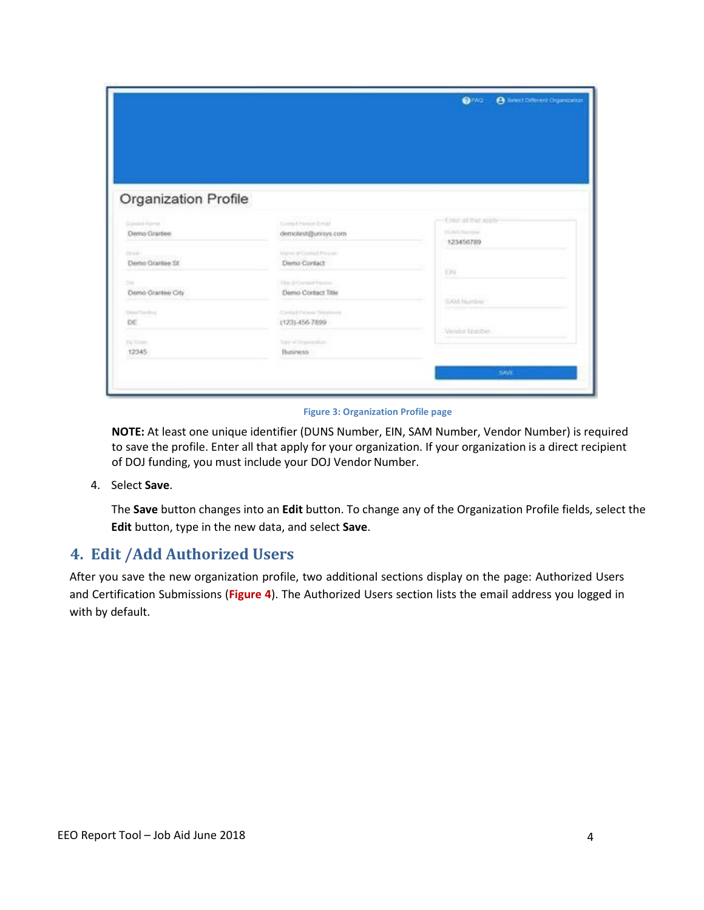|                           |                                           | <b>O</b> lietect Different Organization<br><b>OFAD</b> |
|---------------------------|-------------------------------------------|--------------------------------------------------------|
|                           |                                           |                                                        |
|                           |                                           |                                                        |
|                           |                                           |                                                        |
|                           |                                           |                                                        |
| Organization Profile      |                                           |                                                        |
| Disposite Roman           | Comp & Pierces Striker                    | -Emer althal sobb-                                     |
| Demo Grantee              | demotest@unisys.com                       | (% Pall (Secribal)<br>123456789                        |
| 3440                      | Internal of Crossed Pressure              |                                                        |
| Demo Grantee St           | Demo Contact                              | W.<br>T3N                                              |
| Cost<br>Demo Grantee City | The O'Denig Planet<br>Demo Contact Title  |                                                        |
|                           |                                           | SAM Number                                             |
| <b>HeleTonting</b><br>DE  | Cardod Pylaus Telephone<br>(123) 456-7899 |                                                        |
| <b>Dir Credit</b>         | <b>San altimental</b>                     | Wrider Nations                                         |
| 12345                     | Business.                                 |                                                        |
|                           |                                           | <b>SAVE</b>                                            |
|                           |                                           |                                                        |

**Figure 3: Organization Profile page**

**NOTE:** At least one unique identifier (DUNS Number, EIN, SAM Number, Vendor Number) is required to save the profile. Enter all that apply for your organization. If your organization is a direct recipient of DOJ funding, you must include your DOJ Vendor Number.

4. Select **Save**.

The **Save** button changes into an **Edit** button. To change any of the Organization Profile fields, select the **Edit** button, type in the new data, and select **Save**.

### <span id="page-3-0"></span>**4. Edit /Add Authorized Users**

After you save the new organization profile, two additional sections display on the page: Authorized Users and Certification Submissions (**Figure 4**). The Authorized Users section lists the email address you logged in with by default.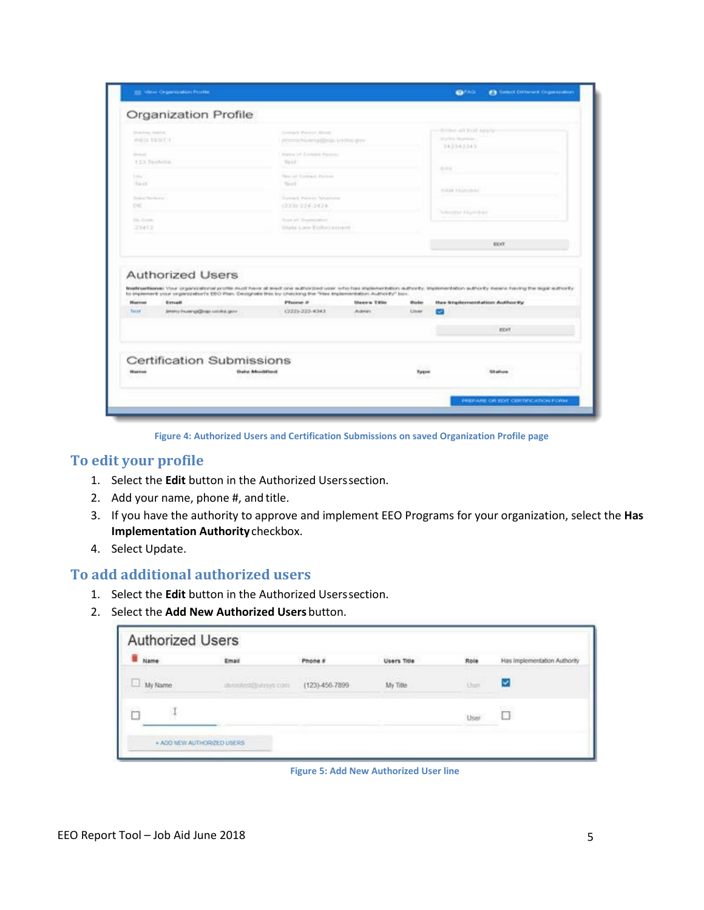|                                        | Organization Profile                                                                                                                         |                                                                                 |                      |                               | Wildem and Shiel Adverty                                                                                                                                                          |
|----------------------------------------|----------------------------------------------------------------------------------------------------------------------------------------------|---------------------------------------------------------------------------------|----------------------|-------------------------------|-----------------------------------------------------------------------------------------------------------------------------------------------------------------------------------|
| Oracless, Nation<br>PHEAS TRINITI R    |                                                                                                                                              | Contract Painter Drugs<br>PETERS PHONES GROUP HISTORY SPIN                      |                      |                               | STATUTE PROPERTY<br>342343343                                                                                                                                                     |
| <b>Street and</b><br>122.Tirahita      |                                                                                                                                              | FUEL- of Contact Person<br>THAT.<br>Plaza and Winstelland, Provincia<br>The CT. |                      |                               | <b>STATE</b>                                                                                                                                                                      |
| E.M.<br><b>To-IX</b>                   |                                                                                                                                              |                                                                                 |                      |                               |                                                                                                                                                                                   |
| Three and Theoretical and<br><b>DE</b> |                                                                                                                                              | Contact Paid in Telephone<br>(223) 224-2424.                                    |                      |                               | <b>SLAN FAURISHE</b>                                                                                                                                                              |
| Die Krein<br>23432                     |                                                                                                                                              | Royal art, Thrasportsstreet<br>Ebable Laive Eighter arment                      |                      |                               | Selected for Florida et                                                                                                                                                           |
|                                        |                                                                                                                                              |                                                                                 |                      |                               | ECVE                                                                                                                                                                              |
|                                        |                                                                                                                                              |                                                                                 |                      |                               |                                                                                                                                                                                   |
|                                        | <b>Authorized Users</b><br>his implement your criplerisation's EBO Plan. Designate this by checking the "hiss implementation Authority" box. |                                                                                 |                      |                               |                                                                                                                                                                                   |
|                                        | Entradit                                                                                                                                     | <b>Phone #</b>                                                                  | <b>Unance Titler</b> | <b><i><u>Flood as</u></i></b> | Ham brogsbestmenstations Auditure thy                                                                                                                                             |
| <b>BEAUTIVE</b><br><b>Takit</b>        | Jetemy Pruservje@rogo solicitos.govv.                                                                                                        | (222)-222-4343                                                                  | Acknots:             | <b>Unane</b>                  | Bradfriedbacksi Vour organizational protes must have at brain one subsidiary uper who has implementation authority. Inplementation subforty means having the legal subforty.<br>అ |
|                                        |                                                                                                                                              |                                                                                 |                      |                               | ECKY                                                                                                                                                                              |
|                                        | Certification Submissions                                                                                                                    |                                                                                 |                      |                               |                                                                                                                                                                                   |

**Figure 4: Authorized Users and Certification Submissions on saved Organization Profile page**

#### **To edit your profile**

- 1. Select the **Edit** button in the Authorized Userssection.
- 2. Add your name, phone #, and title.
- 3. If you have the authority to approve and implement EEO Programs for your organization, select the **Has Implementation Authority**checkbox.
- 4. Select Update.

#### **To add additional authorized users**

- 1. Select the **Edit** button in the Authorized Userssection.
- 2. Select the **Add New Authorized Users** button.

| Name<br><b>CONTRACTOR</b> | Email<br>89 O.U                                                        | Phone #<br><b>MONO</b>              | Users Title<br><b>A A H J A P LAT 100</b> | Role<br>72 C                    | Has Implementation Authority<br>the control of the control of the control of the control of the control of the control of the control of the control of the control of the control of the control of the control of the control of the control of the control |
|---------------------------|------------------------------------------------------------------------|-------------------------------------|-------------------------------------------|---------------------------------|---------------------------------------------------------------------------------------------------------------------------------------------------------------------------------------------------------------------------------------------------------------|
| $\Box$ My Name            | <b>STAR</b><br>decochristiannys com-<br>the property of the control of | Research McVinner<br>(123)-456-7899 | 3022500<br>My Title                       | <b>Lisas</b><br><b>STORY OF</b> | v                                                                                                                                                                                                                                                             |
| $\mathbbm{1}$             |                                                                        |                                     |                                           | User                            | E75%<br>u                                                                                                                                                                                                                                                     |

**Figure 5: Add New Authorized User line**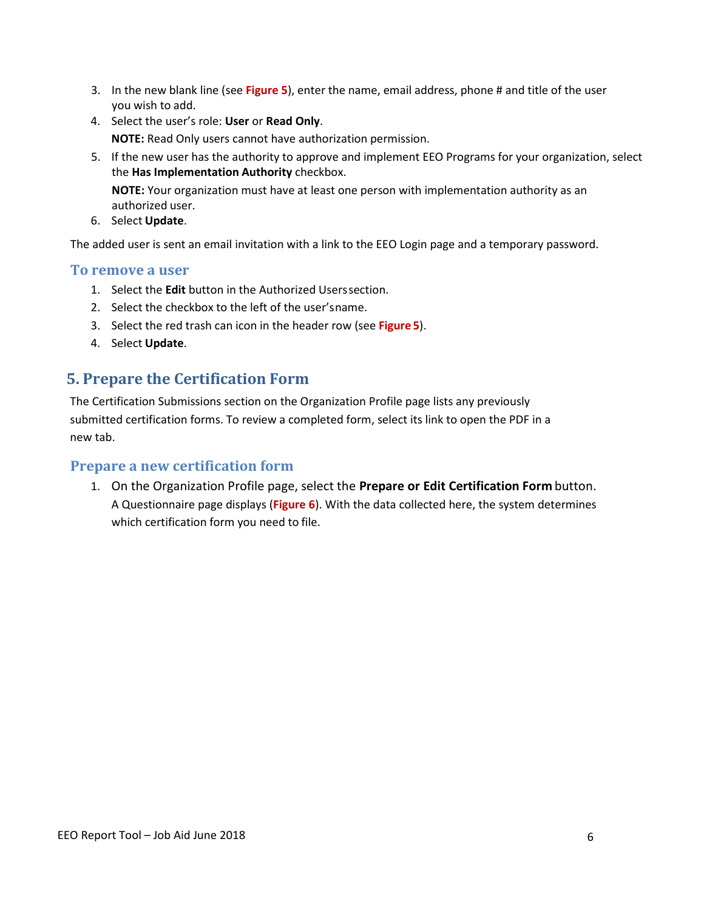- 3. In the new blank line (see **Figure 5**), enter the name, email address, phone # and title of the user you wish to add.
- 4. Select the user's role: **User** or **Read Only**. **NOTE:** Read Only users cannot have authorization permission.
- 5. If the new user has the authority to approve and implement EEO Programs for your organization, select the **Has Implementation Authority** checkbox.

**NOTE:** Your organization must have at least one person with implementation authority as an authorized user.

6. Select **Update**.

The added user is sent an email invitation with a link to the EEO Login page and a temporary password.

#### **To remove a user**

- 1. Select the **Edit** button in the Authorized Userssection.
- 2. Select the checkbox to the left of the user'sname.
- 3. Select the red trash can icon in the header row (see **Figure 5**).
- 4. Select **Update**.

# <span id="page-5-0"></span>**5. Prepare the Certification Form**

The Certification Submissions section on the Organization Profile page lists any previously submitted certification forms. To review a completed form, select its link to open the PDF in a new tab.

#### **Prepare a new certification form**

1. On the Organization Profile page, select the **Prepare or Edit Certification Form** button. A Questionnaire page displays (**Figure 6**). With the data collected here, the system determines which certification form you need to file.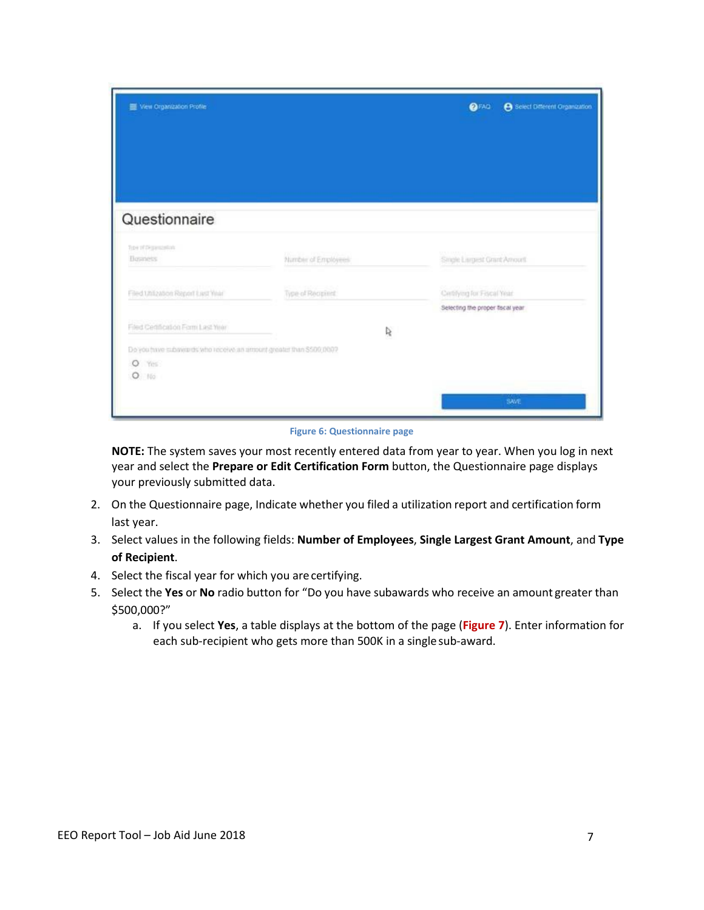| Ven Organization Profile                                                                                   |                     | e Select Different Organization<br><b>OFAD</b>                   |
|------------------------------------------------------------------------------------------------------------|---------------------|------------------------------------------------------------------|
| Questionnaire                                                                                              |                     |                                                                  |
| Topi of Digiorazioni<br><b>Business</b>                                                                    | Number of Employees | Single Largest Grant Amount                                      |
| Filed Unication Report Last Year                                                                           | Type of Recipient   | Certifying for Fiscal Year.<br>Selecting the proper fiscal year. |
| Filed Certification Form Last Year<br>Do you have subayards who receive an amount greater than \$500,0007. | Ŗ                   |                                                                  |
| $\circ$<br>Yes<br>$O$ 100                                                                                  |                     | SAVE                                                             |

**Figure 6: Questionnaire page**

**NOTE:** The system saves your most recently entered data from year to year. When you log in next year and select the **Prepare or Edit Certification Form** button, the Questionnaire page displays your previously submitted data.

- 2. On the Questionnaire page, Indicate whether you filed a utilization report and certification form last year.
- 3. Select values in the following fields: **Number of Employees**, **Single Largest Grant Amount**, and **Type of Recipient**.
- 4. Select the fiscal year for which you are certifying.
- 5. Select the **Yes** or **No** radio button for "Do you have subawards who receive an amount greater than \$500,000?"
	- a. If you select **Yes**, a table displays at the bottom of the page (**Figure 7**). Enter information for each sub-recipient who gets more than 500K in a singlesub-award.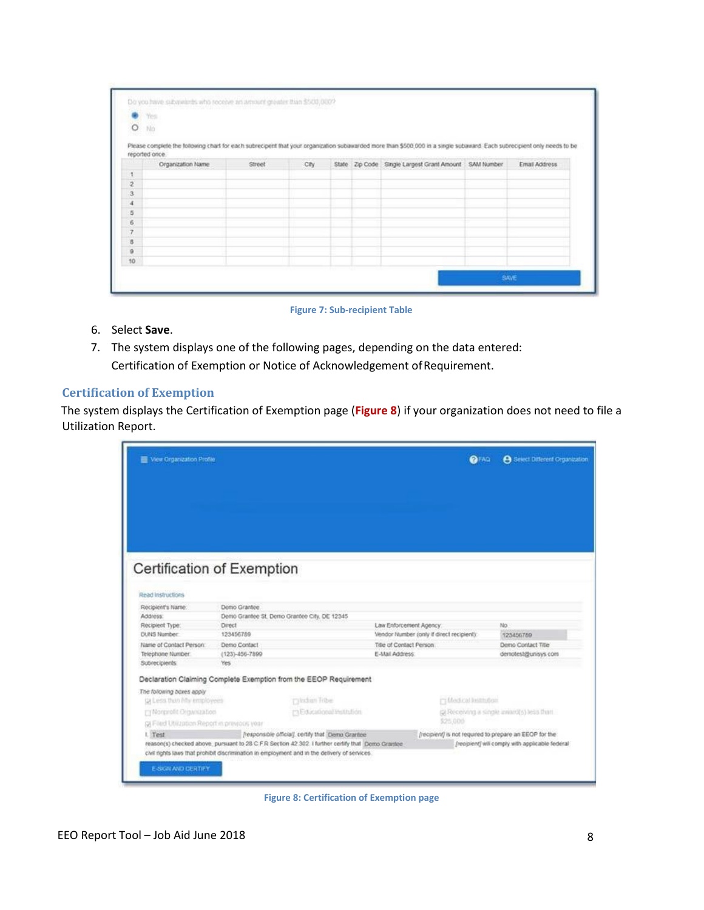| $\bullet$ Yes<br>$\circ$ | $\hbar \mathrm{in}$ |                     |       |  |                                                                                                                                                                         |               |
|--------------------------|---------------------|---------------------|-------|--|-------------------------------------------------------------------------------------------------------------------------------------------------------------------------|---------------|
|                          | reported orice.     |                     |       |  | Please complete the following chart for each subrecipent that your organization subawarded more than \$500,000 in a single subaward. Each subrecipient only needs to be |               |
|                          | Organization Name   | Street <sup>*</sup> | City. |  | State Zip Code Single Largest Grant Amount SAM Number                                                                                                                   | Email Address |
| 1                        |                     |                     |       |  |                                                                                                                                                                         |               |
| 2                        |                     |                     |       |  |                                                                                                                                                                         |               |
| 3                        |                     |                     |       |  |                                                                                                                                                                         |               |
| $\boldsymbol{4}$         |                     |                     |       |  |                                                                                                                                                                         |               |
| 5                        |                     |                     |       |  |                                                                                                                                                                         |               |
| 6                        |                     |                     |       |  |                                                                                                                                                                         |               |
| 7                        |                     |                     |       |  |                                                                                                                                                                         |               |
| b                        |                     |                     |       |  |                                                                                                                                                                         |               |
| $\mathbf{Q}$             |                     |                     |       |  |                                                                                                                                                                         |               |
| 10                       |                     |                     |       |  |                                                                                                                                                                         |               |

#### **Figure 7: Sub-recipient Table**

- 6. Select **Save**.
- 7. The system displays one of the following pages, depending on the data entered: Certification of Exemption or Notice of Acknowledgement of Requirement.

#### **Certification of Exemption**

The system displays the Certification of Exemption page (**Figure 8**) if your organization does not need to file a Utilization Report.

| View Organization Profile                     |                                                                                                   |                         | <b>OFAQ</b>                                            | <b>A</b> Select Different Organization          |  |
|-----------------------------------------------|---------------------------------------------------------------------------------------------------|-------------------------|--------------------------------------------------------|-------------------------------------------------|--|
|                                               |                                                                                                   |                         |                                                        |                                                 |  |
|                                               |                                                                                                   |                         |                                                        |                                                 |  |
|                                               |                                                                                                   |                         |                                                        |                                                 |  |
|                                               |                                                                                                   |                         |                                                        |                                                 |  |
|                                               |                                                                                                   |                         |                                                        |                                                 |  |
|                                               |                                                                                                   |                         |                                                        |                                                 |  |
|                                               | Certification of Exemption                                                                        |                         |                                                        |                                                 |  |
|                                               |                                                                                                   |                         |                                                        |                                                 |  |
|                                               |                                                                                                   |                         |                                                        |                                                 |  |
| Read Instructions                             |                                                                                                   |                         |                                                        |                                                 |  |
| Recipient's Name:                             | Demo Grantee                                                                                      |                         |                                                        |                                                 |  |
| Address:                                      | Demo Grantee St. Demo Grantee City, DE 12345                                                      |                         |                                                        |                                                 |  |
| Recipient Type:                               | Direct                                                                                            | Law Enforcement Agency. |                                                        | No                                              |  |
| <b>DUNS Number</b>                            | 123456789                                                                                         |                         | Vendor Number (only if direct recipient):              | 123456789                                       |  |
| Name of Contact Person:                       | Demo Contact                                                                                      | Title of Contact Person |                                                        | Demo Contact Title                              |  |
| Telephone Number:                             | (123)-456-7899                                                                                    | E-Mail Address          |                                                        | demotest@unisys.com                             |  |
| Subrecipients:                                | Yes.                                                                                              |                         |                                                        |                                                 |  |
|                                               | Declaration Claiming Complete Exemption from the EEOP Requirement                                 |                         |                                                        |                                                 |  |
| The following boxes apply                     |                                                                                                   |                         |                                                        |                                                 |  |
| ta Less thin My employees                     | ruladus Tribe                                                                                     |                         | [7] Medicad limitinglents                              |                                                 |  |
| Manprofit Digwization                         | m Educational Institution                                                                         |                         |                                                        | (2) Receiving a single award(s) less than       |  |
| St Filed Utilization Report in previous year. |                                                                                                   |                         | \$25,000                                               |                                                 |  |
| 1. Test                                       | (responsible official), certify that Demo Grantee                                                 |                         | (recipient) is not required to prepare an EEOP for the |                                                 |  |
|                                               | reason(s) checked above, pursuant to 28 C F R Section 42 302. I further certify that Demo Grantee |                         |                                                        | (recipient) will comply with applicable federal |  |
|                                               | civil rights laws that prohibit discrimination in employment and in the delivery of services.     |                         |                                                        |                                                 |  |
|                                               |                                                                                                   |                         |                                                        |                                                 |  |
| <b>E-SIGN AND CERTIFY</b>                     |                                                                                                   |                         |                                                        |                                                 |  |

**Figure 8: Certification of Exemption page**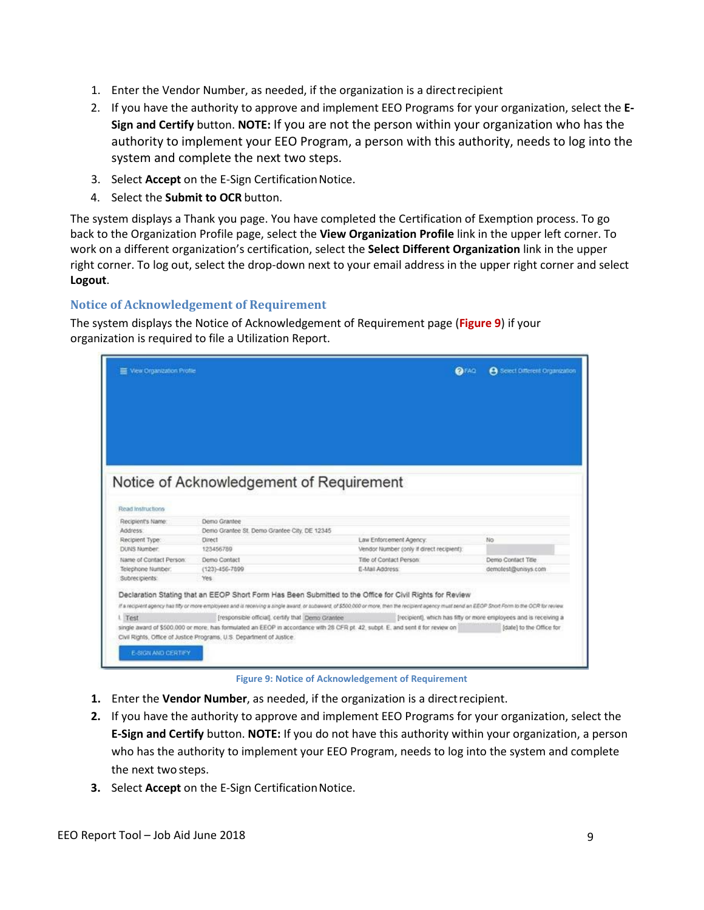- 1. Enter the Vendor Number, as needed, if the organization is a directrecipient
- 2. If you have the authority to approve and implement EEO Programs for your organization, select the **E-Sign and Certify** button. **NOTE:** If you are not the person within your organization who has the authority to implement your EEO Program, a person with this authority, needs to log into the system and complete the next two steps.
- 3. Select **Accept** on the E-Sign Certification Notice.
- 4. Select the **Submit to OCR** button.

The system displays a Thank you page. You have completed the Certification of Exemption process. To go back to the Organization Profile page, select the **View Organization Profile** link in the upper left corner. To work on a different organization's certification, select the **Select Different Organization** link in the upper right corner. To log out, select the drop-down next to your email address in the upper right corner and select **Logout**.

#### **Notice of Acknowledgement of Requirement**

The system displays the Notice of Acknowledgement of Requirement page (**Figure 9**) if your organization is required to file a Utilization Report.

| Wew Organization Profile  |                                                                                                                                                                                                     |                                           | <b>OFAD</b> | <b>A</b> Select Different Organization                            |
|---------------------------|-----------------------------------------------------------------------------------------------------------------------------------------------------------------------------------------------------|-------------------------------------------|-------------|-------------------------------------------------------------------|
|                           |                                                                                                                                                                                                     |                                           |             |                                                                   |
|                           |                                                                                                                                                                                                     |                                           |             |                                                                   |
|                           |                                                                                                                                                                                                     |                                           |             |                                                                   |
|                           |                                                                                                                                                                                                     |                                           |             |                                                                   |
|                           |                                                                                                                                                                                                     |                                           |             |                                                                   |
|                           |                                                                                                                                                                                                     |                                           |             |                                                                   |
|                           |                                                                                                                                                                                                     |                                           |             |                                                                   |
|                           | Notice of Acknowledgement of Requirement                                                                                                                                                            |                                           |             |                                                                   |
|                           |                                                                                                                                                                                                     |                                           |             |                                                                   |
|                           |                                                                                                                                                                                                     |                                           |             |                                                                   |
| Read instructions         |                                                                                                                                                                                                     |                                           |             |                                                                   |
| Recipient's Name:         | Demo Grantee                                                                                                                                                                                        |                                           |             |                                                                   |
| <b>Address</b>            | Derrio Grantee St. Demo Grantee City, DE 12345                                                                                                                                                      |                                           |             |                                                                   |
| Recipient Type:           | Direct                                                                                                                                                                                              | Law Enforcement Agency:                   |             | No                                                                |
| DUNS Number:              | 123456789                                                                                                                                                                                           | Vendor Number (only if direct recipient): |             |                                                                   |
| Name of Contact Person:   | Demo Contact                                                                                                                                                                                        | Title of Contact Person:                  |             | Demo Contact Title                                                |
| Telephone Number:         | $(123) - 456 - 7899$                                                                                                                                                                                | E-Mail Address                            |             | demolest@unisys.com                                               |
| Subrecipients:            | Yes:                                                                                                                                                                                                |                                           |             |                                                                   |
|                           | Declaration Stating that an EEOP Short Form Has Been Submitted to the Office for Civil Rights for Review                                                                                            |                                           |             |                                                                   |
|                           | If a recipient agency has fifty or more employees and is receiving a single award, or subaward, of \$500,000 or more, then the recipient agency must send an EEOP Short Porm to the OCR for review. |                                           |             |                                                                   |
| L Test                    | [responsible official], certify that Demo Grantee                                                                                                                                                   |                                           |             | [recipient], which has fifty or more employees and is receiving a |
|                           | single award of \$500,000 or more, has formulated an EEOP in accordance with 28 CFR pt. 42, subpt. E, and sent it for review on                                                                     |                                           |             | (date) to the Office for                                          |
|                           | Civil Rights, Office of Justice Programs, U.S. Department of Justice.                                                                                                                               |                                           |             |                                                                   |
|                           |                                                                                                                                                                                                     |                                           |             |                                                                   |
| <b>E-SIGN AND CERTIFY</b> |                                                                                                                                                                                                     |                                           |             |                                                                   |

**Figure 9: Notice of Acknowledgement of Requirement**

- **1.** Enter the **Vendor Number**, as needed, if the organization is a directrecipient.
- **2.** If you have the authority to approve and implement EEO Programs for your organization, select the **E-Sign and Certify** button. **NOTE:** If you do not have this authority within your organization, a person who has the authority to implement your EEO Program, needs to log into the system and complete the next two steps.
- **3.** Select **Accept** on the E-Sign Certification Notice.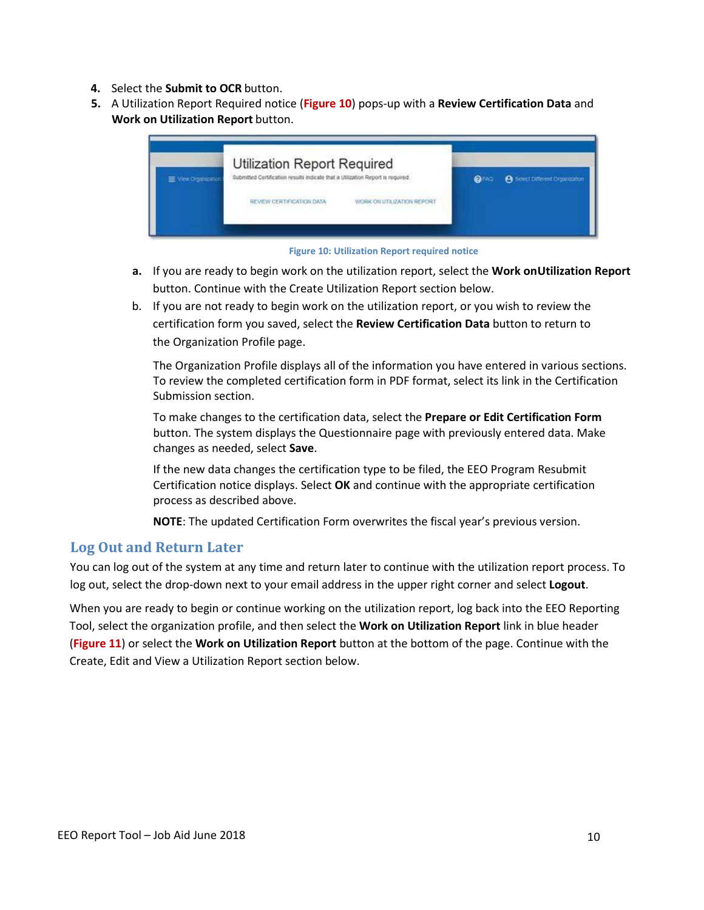- **4.** Select the **Submit to OCR** button.
- **5.** A Utilization Report Required notice (**Figure 10**) pops-up with a **Review Certification Data** and **Work on Utilization Report** button.





- **a.** If you are ready to begin work on the utilization report, select the **Work onUtilization Report** button. Continue with the Create Utilization Report section below.
- b. If you are not ready to begin work on the utilization report, or you wish to review the certification form you saved, select the **Review Certification Data** button to return to the Organization Profile page.

The Organization Profile displays all of the information you have entered in various sections. To review the completed certification form in PDF format, select its link in the Certification Submission section.

To make changes to the certification data, select the **Prepare or Edit Certification Form**  button. The system displays the Questionnaire page with previously entered data. Make changes as needed, select **Save**.

If the new data changes the certification type to be filed, the EEO Program Resubmit Certification notice displays. Select **OK** and continue with the appropriate certification process as described above.

**NOTE**: The updated Certification Form overwrites the fiscal year's previous version.

#### **Log Out and Return Later**

You can log out of the system at any time and return later to continue with the utilization report process. To log out, select the drop-down next to your email address in the upper right corner and select **Logout**.

When you are ready to begin or continue working on the utilization report, log back into the EEO Reporting Tool, select the organization profile, and then select the **Work on Utilization Report** link in blue header (**Figure 11**) or select the **Work on Utilization Report** button at the bottom of the page. Continue with the Create, Edit and View a Utilization Report section below.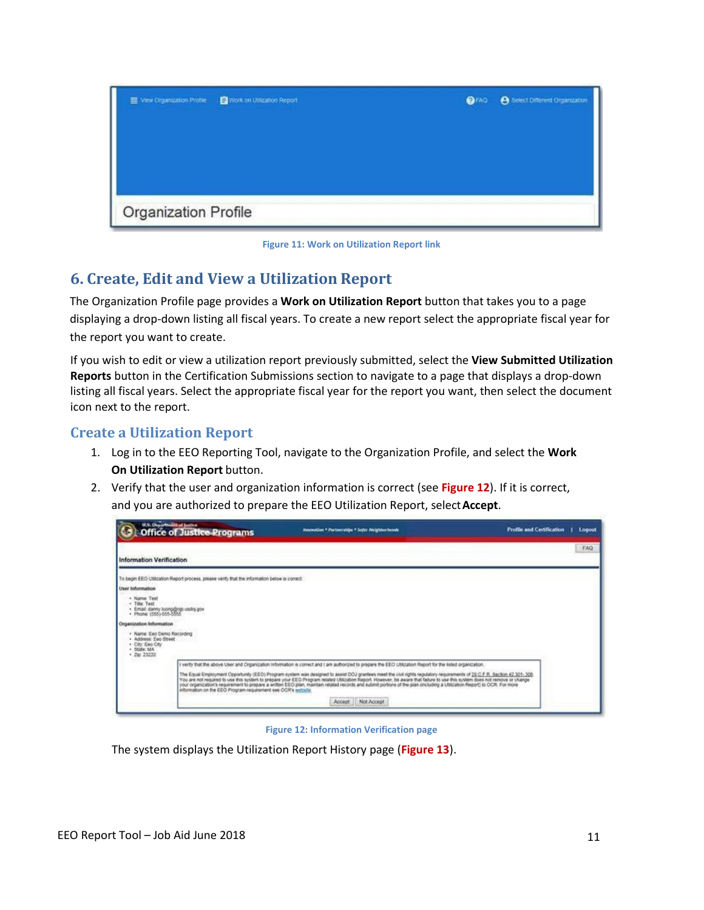

**Figure 11: Work on Utilization Report link**

# <span id="page-10-0"></span>**6. Create, Edit and View a Utilization Report**

The Organization Profile page provides a **Work on Utilization Report** button that takes you to a page displaying a drop-down listing all fiscal years. To create a new report select the appropriate fiscal year for the report you want to create.

If you wish to edit or view a utilization report previously submitted, select the **View Submitted Utilization Reports** button in the Certification Submissions section to navigate to a page that displays a drop-down listing all fiscal years. Select the appropriate fiscal year for the report you want, then select the document icon next to the report.

### **Create a Utilization Report**

- 1. Log in to the EEO Reporting Tool, navigate to the Organization Profile, and select the **Work On Utilization Report** button.
- 2. Verify that the user and organization information is correct (see **Figure 12**). If it is correct, and you are authorized to prepare the EEO Utilization Report, select**Accept**.

| U.S. Organization Junior                                                                           | <b>Office of Justice Programs</b>                                                            | Innovation * Partnerships * Safer Neighborhoods                                                                                                                                                                                                                                                                                                                                                                                                                                                                                   | <b>Profile and Certification</b><br>Logout |
|----------------------------------------------------------------------------------------------------|----------------------------------------------------------------------------------------------|-----------------------------------------------------------------------------------------------------------------------------------------------------------------------------------------------------------------------------------------------------------------------------------------------------------------------------------------------------------------------------------------------------------------------------------------------------------------------------------------------------------------------------------|--------------------------------------------|
| <b>Information Verification</b>                                                                    |                                                                                              |                                                                                                                                                                                                                                                                                                                                                                                                                                                                                                                                   | FAQ                                        |
|                                                                                                    | To begin EEO Utilization Report process, please venty that the information below is consist: |                                                                                                                                                                                                                                                                                                                                                                                                                                                                                                                                   |                                            |
| User Information                                                                                   |                                                                                              |                                                                                                                                                                                                                                                                                                                                                                                                                                                                                                                                   |                                            |
| + Name Text<br>- Title Test<br>- Email: danny kuong@ogs usdoj.gov<br>- Phone: (555)-555-5555       |                                                                                              |                                                                                                                                                                                                                                                                                                                                                                                                                                                                                                                                   |                                            |
| Organization Information                                                                           |                                                                                              |                                                                                                                                                                                                                                                                                                                                                                                                                                                                                                                                   |                                            |
| · Name: Eeo Demo Racording<br>· Address Feo Street<br>· City: Eao City<br>* State MA<br>$-7602220$ |                                                                                              |                                                                                                                                                                                                                                                                                                                                                                                                                                                                                                                                   |                                            |
|                                                                                                    |                                                                                              | I wirly that the above User and Organization Information is conect and I am authorized to prepare the EEO Utilization Report for the Isled organization.                                                                                                                                                                                                                                                                                                                                                                          |                                            |
|                                                                                                    | information on the EEO Program requirement see OCR's writishe                                | The Equal Employment Opportunity (EEO) Program system was designed to assist DOJ grantees meet the civil rights regulatory requirements of 25 C F R, Section 42 301-305.<br>You are not required to use this system to prepare your EEO Program related Utilization Report. However, be aware that failure to use this system does not remove or change<br>your organization's requirement to prepare a written EEO plan, maintain related records and submit portions of the plan (including a UNEation Report) to OCR. For more |                                            |
|                                                                                                    |                                                                                              | Not Accept<br>Accept                                                                                                                                                                                                                                                                                                                                                                                                                                                                                                              |                                            |
|                                                                                                    |                                                                                              |                                                                                                                                                                                                                                                                                                                                                                                                                                                                                                                                   |                                            |

#### <span id="page-10-1"></span>**Figure 12: Information Verification page**

The system displays the Utilization Report History page (**Figure 13**).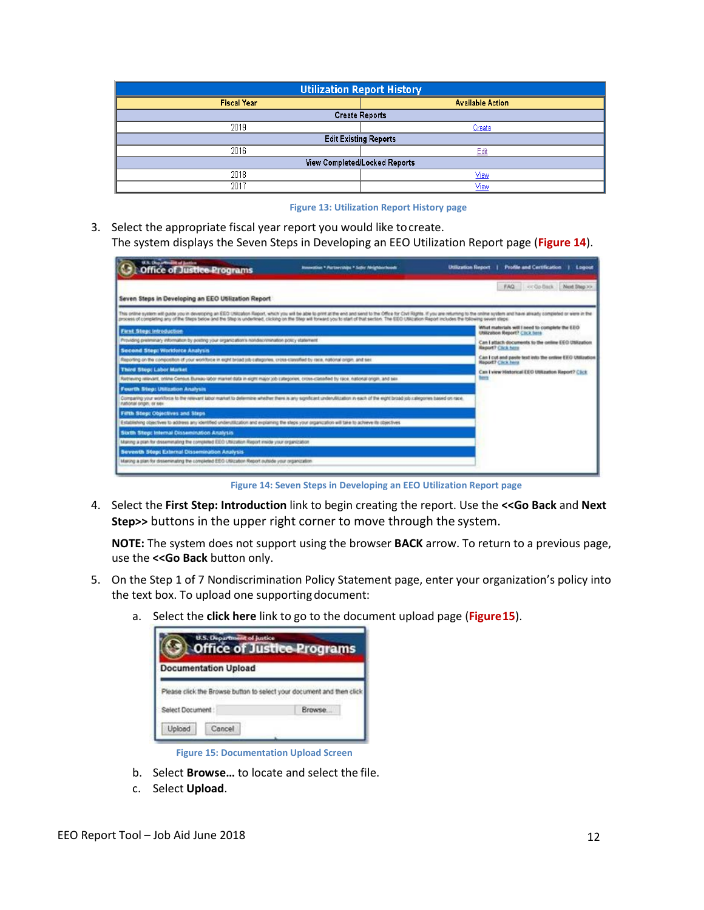| <b>Utilization Report History</b> |                               |  |  |  |  |
|-----------------------------------|-------------------------------|--|--|--|--|
| <b>Fiscal Year</b>                | <b>Available Action</b>       |  |  |  |  |
| <b>Create Reports</b>             |                               |  |  |  |  |
| 2019                              | Create                        |  |  |  |  |
|                                   | <b>Edit Existing Reports</b>  |  |  |  |  |
| 2016                              | Edit                          |  |  |  |  |
|                                   | View Completed/Locked Reports |  |  |  |  |
| 2018                              | <b>View</b>                   |  |  |  |  |
| 2017                              | View                          |  |  |  |  |

#### **Figure 13: Utilization Report History page**

3. Select the appropriate fiscal year report you would like tocreate. The system displays the Seven Steps in Developing an EEO Utilization Report page (**Figure 14**).

| U.S. Chryse Wooder of Justice<br><b>Office of Justice Programs</b>                                                                                                                                          | Jonawatkan * Partnerships * Safer Neighborhoods                                       | <b>Utilization Report</b><br><b>Profile and Certification</b><br>Logout                                                                                                                                                        |
|-------------------------------------------------------------------------------------------------------------------------------------------------------------------------------------------------------------|---------------------------------------------------------------------------------------|--------------------------------------------------------------------------------------------------------------------------------------------------------------------------------------------------------------------------------|
| Seven Steps in Developing an EEO Utilization Report                                                                                                                                                         |                                                                                       | FAQ                                                                                                                                                                                                                            |
| process of completing any of the Steps below and the Step is underticed, clicking on the Step will forward you to start of that section. The EEO Utilization Report includes the following seven steps:     |                                                                                       | This ordine system will guide you in developing an EEO UNIcation Report, which you will be able to print all the end and send to the Office for Civil Rights. If you are intuming to the notine system and have already comple |
| First Step: Introduction                                                                                                                                                                                    |                                                                                       | What materials will I seed to complete the EEO<br>USB2alton Report? Citck here                                                                                                                                                 |
| Provided pretiminary information by posting your organization's nondecrimination policy statement                                                                                                           |                                                                                       | Can I attach documents to the online EEO Utilization                                                                                                                                                                           |
| Second Step: Workforce Analysis                                                                                                                                                                             | <b>Report? Click hors</b>                                                             |                                                                                                                                                                                                                                |
| Reporting on the composition of your workforce in eight broad job categories, cross-classified by race, national origin, and sex                                                                            | Can I cut and paste text into the online EEO Utilization<br><b>Report? Click here</b> |                                                                                                                                                                                                                                |
| <b>Third Step: Labor Market</b>                                                                                                                                                                             | Can I view Historical EEO Utilization Report? Click                                   |                                                                                                                                                                                                                                |
| Retrieving relevant, online Census Bureau labor market data in eight major job categories, cross-classified by race, riational origin, and sex                                                              |                                                                                       | hern                                                                                                                                                                                                                           |
| Fourth Step: Utilization Analysis                                                                                                                                                                           |                                                                                       |                                                                                                                                                                                                                                |
| Comparing your workforce to the relevant labor market to determine whether there is any significant underutionalization in each of the eight broad job callegores based on race.<br>national origin, or sex |                                                                                       |                                                                                                                                                                                                                                |
| Fifth Step: Objectives and Steps                                                                                                                                                                            |                                                                                       |                                                                                                                                                                                                                                |
| Establishing objectives to address any identified underutilization and explaining the steps your organization will take to achieve its objectives.                                                          |                                                                                       |                                                                                                                                                                                                                                |
| Sixth Step: Internal Dissemination Analysis                                                                                                                                                                 |                                                                                       |                                                                                                                                                                                                                                |
| Making a plan for disseminating the completed EEO Utilization Report inside your organization                                                                                                               |                                                                                       |                                                                                                                                                                                                                                |
| Seventh Step: External Dissemination Analysis                                                                                                                                                               |                                                                                       |                                                                                                                                                                                                                                |
| Maring a plan for deseminating the completed EEO Utilization Report outside your organization                                                                                                               |                                                                                       |                                                                                                                                                                                                                                |

**Figure 14: Seven Steps in Developing an EEO Utilization Report page**

4. Select the **First Step: Introduction** link to begin creating the report. Use the **<<Go Back** and **Next Step>>** buttons in the upper right corner to move through the system.

**NOTE:** The system does not support using the browser **BACK** arrow. To return to a previous page, use the **<<Go Back** button only.

- 5. On the Step 1 of 7 Nondiscrimination Policy Statement page, enter your organization's policy into the text box. To upload one supporting document:
	- a. Select the **click here** link to go to the document upload page (**Figure15**).

|                             | <b>Office of Justice Programs</b>                                     |
|-----------------------------|-----------------------------------------------------------------------|
| <b>Documentation Upload</b> | Please click the Browse button to select your document and then click |
| Select Document:            | Browse.                                                               |
| Upload<br>Cancel            |                                                                       |

**Figure 15: Documentation Upload Screen**

- b. Select **Browse…** to locate and select the file.
- c. Select **Upload**.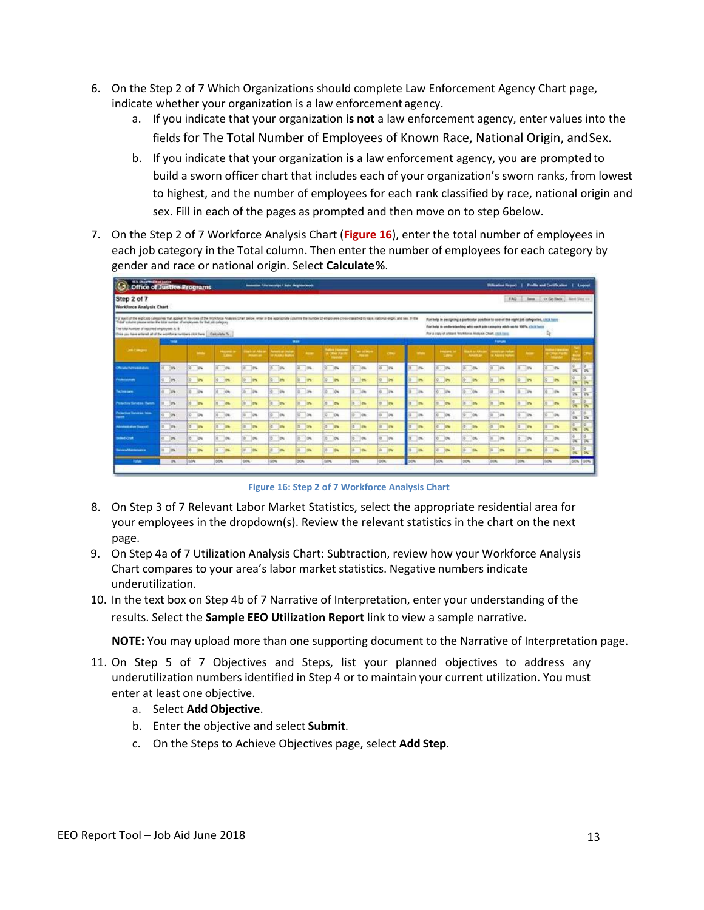- 6. On the Step 2 of 7 Which Organizations should complete Law Enforcement Agency Chart page, indicate whether your organization is a law enforcement agency.
	- a. If you indicate that your organization **is not** a law enforcement agency, enter values into the fields for The Total Number of Employees of Known Race, National Origin, and Sex.
	- b. If you indicate that your organization **is** a law enforcement agency, you are prompted to build a sworn officer chart that includes each of your organization's sworn ranks, from lowest to highest, and the number of employees for each rank classified by race, national origin and sex. Fill in each of the pages as prompted and then move on to step 6below.
- 7. On the Step 2 of 7 Workforce Analysis Chart (**Figure 16**), enter the total number of employees in each job category in the Total column. Then enter the number of employees for each category by gender and race or national origin. Select **Calculate %**.

| <b>STA Disponential Autom</b><br><b>Office of Justice Programs</b><br>œ                                                                                                                                                                                                                                                                                                                                                                  |              |                       |                           |                                      | <b>Seminario * Personnige * Sate Neighborkook</b> |                    |                                  |                                |                           |              |                                                                                                                                                                                                                                          |                                                     |                                                 |                                   | Utilization Report   Fredin and Cartification |                               | Logout          |
|------------------------------------------------------------------------------------------------------------------------------------------------------------------------------------------------------------------------------------------------------------------------------------------------------------------------------------------------------------------------------------------------------------------------------------------|--------------|-----------------------|---------------------------|--------------------------------------|---------------------------------------------------|--------------------|----------------------------------|--------------------------------|---------------------------|--------------|------------------------------------------------------------------------------------------------------------------------------------------------------------------------------------------------------------------------------------------|-----------------------------------------------------|-------------------------------------------------|-----------------------------------|-----------------------------------------------|-------------------------------|-----------------|
| Step 2 of 7<br>Workforce Analysis Chart                                                                                                                                                                                                                                                                                                                                                                                                  |              |                       |                           |                                      |                                                   |                    |                                  |                                |                           |              |                                                                                                                                                                                                                                          |                                                     | FAG.                                            | <b>Jimm</b>                       | : UCGs Back: J. Hent Ship vo.                 |                               |                 |
| For each of the eight ob categories that appear in the road of the Workforce Analysis Chart below, when in the epociphate columns the number of enginy ere cross-classified by race, national origin, and sex. In the<br>"Taba" column please enter the taba mander of employees for that job collegery.<br>The lokal kuntuer of reported employees it: 5<br>Chi a you have entered at of the worldone numbers clinic here   Calculate % |              |                       |                           |                                      |                                                   |                    |                                  |                                |                           |              | For belp in assigning a particular position to use of the style job categories, child here<br>For help in understanding why each job category wide up to 100%, (3LE here<br>For a copy of a blank Workflerox Analysis Chief, click here. |                                                     |                                                 |                                   | R                                             |                               |                 |
|                                                                                                                                                                                                                                                                                                                                                                                                                                          | Take         |                       |                           |                                      |                                                   | <b>State</b>       |                                  |                                |                           |              |                                                                                                                                                                                                                                          |                                                     | <b>Famous</b>                                   |                                   |                                               |                               |                 |
| <b>List Company</b>                                                                                                                                                                                                                                                                                                                                                                                                                      |              | <b>START COMPANY</b>  | <b>The Second</b>         | <b>HILL M. PARK</b><br><b>STARTS</b> | <b>Particular Studio</b><br><b>CALLA LIGHT</b>    | $\sim$             | Climat Figure<br><b>November</b> | Two call beca<br><b>The Ho</b> | <b>CENT</b>               | <b>STATE</b> | <b>Processi</b><br>1,000                                                                                                                                                                                                                 | <b>Jul 44 841</b><br><b><i><u>Selection</u></i></b> | <b>Service and Starts</b><br><b>Change Inch</b> | <b>Service</b>                    | <b>Band Stores</b><br><b>Professor</b>        |                               |                 |
| Official Americans                                                                                                                                                                                                                                                                                                                                                                                                                       | 766<br>ņ.    | 亩<br>$-10%$           | $\sup$                    | 10%<br>e.                            | <b>COM</b><br>W.                                  | Э×<br>œ.           | W.<br>18                         | <b>OW</b>                      | w<br>$\sim$               | m            | $\mathbb{R}$                                                                                                                                                                                                                             | ь<br>$-10$                                          | jos<br>50                                       | <b>C</b> in                       | O.<br>$-28$                                   | ×                             | o.<br>×         |
| Professionals                                                                                                                                                                                                                                                                                                                                                                                                                            | ö.<br>10%    | in.<br>$\overline{a}$ | $0 - 10$                  | $0 - 276$                            | 10 PM                                             | 0 79               | $\frac{1}{2}$<br><b>IBN</b>      | 10%<br>m.                      | ig.<br>12%                | m            | m<br>io.                                                                                                                                                                                                                                 | 0.105                                               | IN.<br><b>IEN</b>                               | 0 10%                             | $\circ$<br><b>Ph</b>                          | ×<br>w                        | 15<br><b>DK</b> |
| achielane                                                                                                                                                                                                                                                                                                                                                                                                                                | 10%          | ĸ<br>10%              | $-99$                     | s.<br>im                             | Tow<br>w                                          | ×<br>$\rightarrow$ | io.<br>10%                       | 75                             | io.<br>1%                 | im.          | a.<br>125                                                                                                                                                                                                                                | 20%<br>¥                                            | in<br>w                                         | E les<br>ĸ.                       | lo:<br>$1$                                    | $\frac{1}{2}$                 | n<br><b>in</b>  |
| <b>Polactos Sendad Santh</b>                                                                                                                                                                                                                                                                                                                                                                                                             | Jes          | F<br> m               | $-0.06$                   | $\frac{1}{2}$<br>m.                  | $\sim$<br>$\overline{a}$                          | in.                | ia.<br>$10\%$                    | 10%<br>in.                     | <b>DW</b>                 | <b>CHA</b>   | <b>RE</b><br><b>IPM</b>                                                                                                                                                                                                                  | ×<br><b>Jan</b>                                     | <b>Izv</b><br><b>SC</b>                         | $\overline{a}$<br><b>Callenge</b> | 10<br>24                                      | $\frac{1}{2}$                 | <b>The</b>      |
| Projective Services, Non-<br>--                                                                                                                                                                                                                                                                                                                                                                                                          | $3$          | b<br>$-100$           | $-94$<br>×                | $\sim$ $\sim$                        | $0 - 0$                                           | $0 - 26$           | R.<br>10%                        | $-99$<br>٠                     | $0 - p$                   | 100          | $-96$<br>×                                                                                                                                                                                                                               | ٠<br>$\sim 10$                                      | $20\%$<br>×                                     | e ja                              | $0 - 04$                                      | œ<br>$\frac{1}{2}$            | ×<br>w          |
| <b><i><u>American</u> Napport</i></b>                                                                                                                                                                                                                                                                                                                                                                                                    | 189          | is.<br><b>In</b>      | n.<br><b>SP</b>           | ×<br>$\mathbb{R}$                    | $\approx$<br><b>Tele</b>                          | <b>in</b><br>量     | $E_{0}$<br>18%                   | ie.<br>$\sqrt{2}$              | 10 <sup>o</sup><br>×      | m            | <b>ISN</b><br>ia.                                                                                                                                                                                                                        | o.<br><b>In</b>                                     | 10<br><b>ISN</b>                                | 10 <sup>o</sup><br>u.             | m.<br><b>Im</b>                               | ×<br>$\overline{\phantom{a}}$ | w<br>w          |
| <b>Builded Craft</b>                                                                                                                                                                                                                                                                                                                                                                                                                     | in.          | 汝<br>$\rightarrow$    | $\mathcal{L}^{\text{NN}}$ | $10^{-11}$<br>10%<br><b>Concert</b>  | ы<br>$\mathbb{R}$                                 | œ<br><b>SOFT</b>   | io.<br>108                       | $\sim 100$                     | $\mathbb{R}^{\mathbb{N}}$ | m            | ы<br> 0                                                                                                                                                                                                                                  | $-10$                                               | 10%<br>is.                                      | 国外                                | li6<br>$\rightarrow$                          | $\overline{\alpha}$           | 5<br>w          |
| <b>International Accounts</b>                                                                                                                                                                                                                                                                                                                                                                                                            | $1$          | 莭<br>10%              | æ<br>25                   | ibs                                  | ×<br>in.                                          | <b>Isu</b>         | 16<br>25                         | $\mathbb{R}^n$                 | <b>DV</b>                 |              | i di<br>12%                                                                                                                                                                                                                              | ÷<br>15%                                            | m                                               | w<br>$\mathbb{R}$                 | $\sqrt{a}$<br>$\Box$ m                        | $\overline{\mathbf{r}}$       | <b>CON</b>      |
| <b>Ratak</b>                                                                                                                                                                                                                                                                                                                                                                                                                             | $\mathbb{R}$ | <b>SON</b>            | loon                      | 50%                                  | <b>LSOW</b>                                       | <b>JON</b>         | <b>Grow</b>                      | bow                            | 00%                       | 50%          | look                                                                                                                                                                                                                                     | DON:                                                | <b>SADRA</b>                                    | <b>SON</b>                        | <b>GON</b>                                    |                               | och lock        |

**Figure 16: Step 2 of 7 Workforce Analysis Chart**

- 8. On Step 3 of 7 Relevant Labor Market Statistics, select the appropriate residential area for your employees in the dropdown(s). Review the relevant statistics in the chart on the next page.
- 9. On Step 4a of 7 Utilization Analysis Chart: Subtraction, review how your Workforce Analysis Chart compares to your area's labor market statistics. Negative numbers indicate underutilization.
- 10. In the text box on Step 4b of 7 Narrative of Interpretation, enter your understanding of the results. Select the **Sample EEO Utilization Report** link to view a sample narrative.

**NOTE:** You may upload more than one supporting document to the Narrative of Interpretation page.

- 11. On Step 5 of 7 Objectives and Steps, list your planned objectives to address any underutilization numbers identified in Step 4 or to maintain your current utilization. You must enter at least one objective.
	- a. Select **AddObjective**.
	- b. Enter the objective and select **Submit**.
	- c. On the Steps to Achieve Objectives page, select **Add Step**.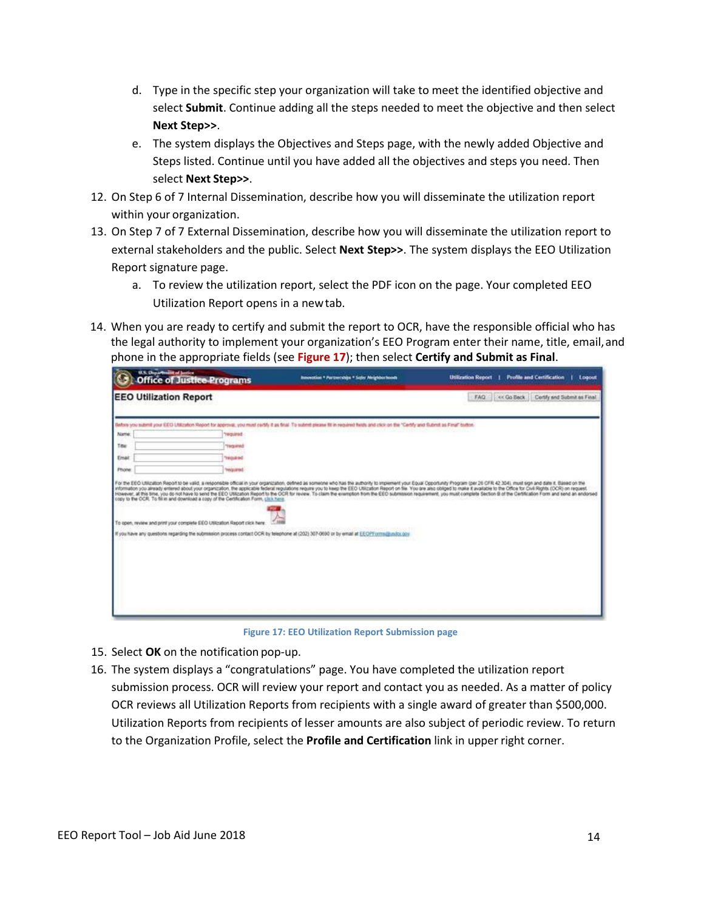- d. Type in the specific step your organization will take to meet the identified objective and select **Submit**. Continue adding all the steps needed to meet the objective and then select **Next Step>>**.
- e. The system displays the Objectives and Steps page, with the newly added Objective and Steps listed. Continue until you have added all the objectives and steps you need. Then select **Next Step>>**.
- 12. On Step 6 of 7 Internal Dissemination, describe how you will disseminate the utilization report within your organization.
- 13. On Step 7 of 7 External Dissemination, describe how you will disseminate the utilization report to external stakeholders and the public. Select **Next Step>>**. The system displays the EEO Utilization Report signature page.
	- a. To review the utilization report, select the PDF icon on the page. Your completed EEO Utilization Report opens in a newtab.
- 14. When you are ready to certify and submit the report to OCR, have the responsible official who has the legal authority to implement your organization's EEO Program enter their name, title, email,and phone in the appropriate fields (see **Figure 17**); then select **Certify and Submit as Final**.

| U.S. Queadmillit of Justice   | <b>Office of Justice Programs</b>                                                                                                                                   | Innovation * Furtherships * Safer Neighburhoods                                                                                                                                              | <b>Profile and Certification</b><br><b>Utilization Report</b><br>Logout                                                                                                                                                                                                                                                                                                                                                                                          |
|-------------------------------|---------------------------------------------------------------------------------------------------------------------------------------------------------------------|----------------------------------------------------------------------------------------------------------------------------------------------------------------------------------------------|------------------------------------------------------------------------------------------------------------------------------------------------------------------------------------------------------------------------------------------------------------------------------------------------------------------------------------------------------------------------------------------------------------------------------------------------------------------|
| <b>EEO Utilization Report</b> |                                                                                                                                                                     |                                                                                                                                                                                              | << Go Back   Certify and Submit as Final<br>FAQ <sup>1</sup>                                                                                                                                                                                                                                                                                                                                                                                                     |
|                               |                                                                                                                                                                     | Refore you substitl your EEO Littlication Report for approval, you must certify it as final. To submit please fill in required fields and click on the "Certify and Submit as Final" button. |                                                                                                                                                                                                                                                                                                                                                                                                                                                                  |
| <b>Name:</b>                  | beniuper                                                                                                                                                            |                                                                                                                                                                                              |                                                                                                                                                                                                                                                                                                                                                                                                                                                                  |
| Title                         | <b>TING IFMS</b>                                                                                                                                                    |                                                                                                                                                                                              |                                                                                                                                                                                                                                                                                                                                                                                                                                                                  |
| Email                         | <b>TROUB INC</b>                                                                                                                                                    |                                                                                                                                                                                              |                                                                                                                                                                                                                                                                                                                                                                                                                                                                  |
| Phone                         | <b>Intraction</b>                                                                                                                                                   |                                                                                                                                                                                              |                                                                                                                                                                                                                                                                                                                                                                                                                                                                  |
|                               | copy to the OCR. To fill in and download a copy of the Certification Form, click here.<br>To open, review and print your complete EEO Utilization Report click here |                                                                                                                                                                                              | information you already entered about your organization. the applicatie federal regulations require you to keep the EEO USIzation Report on file. You are also obliged to make it available to the Office for Divil Rights (OC<br>However, at this time, you do not have to send the EEO Utilization Report to the OCR for review. To claim the exemption from the EEO submission requirement, you must complete Section B of the Certification From and send an |
|                               |                                                                                                                                                                     | If you have any questions regarding the submission process contact OCR by telephone at (202) 307-0690 or by email at EEOPF crimidization gov                                                 |                                                                                                                                                                                                                                                                                                                                                                                                                                                                  |
|                               |                                                                                                                                                                     |                                                                                                                                                                                              |                                                                                                                                                                                                                                                                                                                                                                                                                                                                  |

**Figure 17: EEO Utilization Report Submission page**

- 15. Select **OK** on the notification pop-up.
- 16. The system displays a "congratulations" page. You have completed the utilization report submission process. OCR will review your report and contact you as needed. As a matter of policy OCR reviews all Utilization Reports from recipients with a single award of greater than \$500,000. Utilization Reports from recipients of lesser amounts are also subject of periodic review. To return to the Organization Profile, select the **Profile and Certification** link in upper right corner.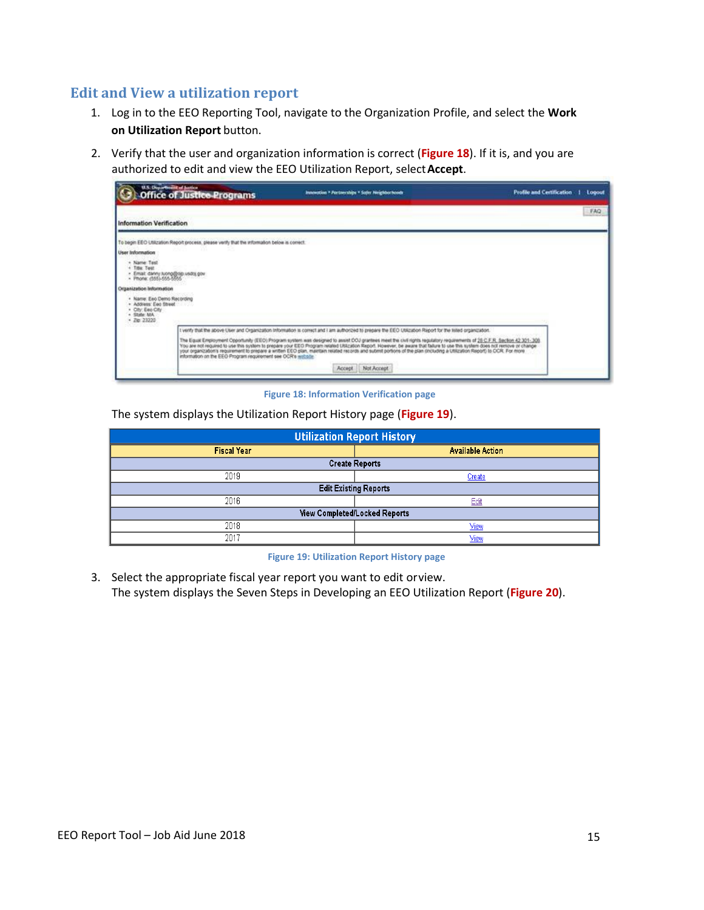#### **Edit and View a utilization report**

- 1. Log in to the EEO Reporting Tool, navigate to the Organization Profile, and select the **Work on Utilization Report** button.
- 2. Verify that the user and organization information is correct (**Figure 18**). If it is, and you are authorized to edit and view the EEO Utilization Report, select**Accept**.



**Figure 18: Information Verification page**

The system displays the Utilization Report History page (**Figure 19**).

| <b>Utilization Report History</b> |                         |  |  |  |  |  |  |
|-----------------------------------|-------------------------|--|--|--|--|--|--|
| <b>Fiscal Year</b>                | <b>Available Action</b> |  |  |  |  |  |  |
| <b>Create Reports</b>             |                         |  |  |  |  |  |  |
| 2019                              | Create                  |  |  |  |  |  |  |
| <b>Edit Existing Reports</b>      |                         |  |  |  |  |  |  |
| 2016                              | Edit                    |  |  |  |  |  |  |
| View Completed/Locked Reports     |                         |  |  |  |  |  |  |
| 2018                              | <u>View</u>             |  |  |  |  |  |  |
| 2017                              | View                    |  |  |  |  |  |  |

**Figure 19: Utilization Report History page**

3. Select the appropriate fiscal year report you want to edit orview. The system displays the Seven Steps in Developing an EEO Utilization Report (**Figure 20**).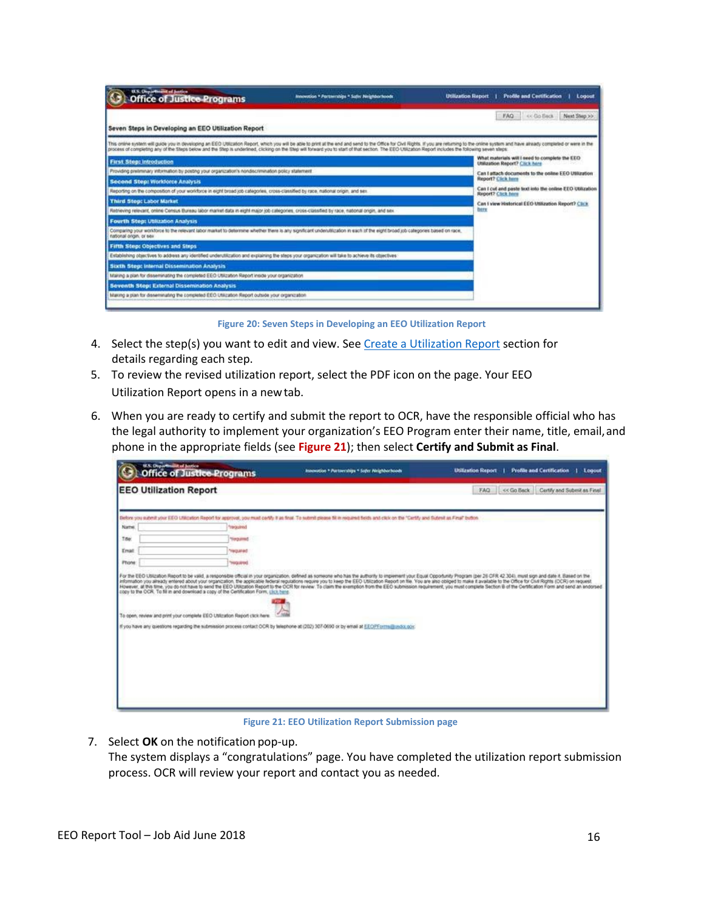| U.S. Orgar manifest of Juntice<br><b>Office of Justice Programs</b>                                                                                                                                     | Innovotion * Fartwrahips * Salv: Neighborhoods                                   | <b>Utilization Report</b><br><b>Profile and Certification</b><br>Logout                                                                                                                                                        |
|---------------------------------------------------------------------------------------------------------------------------------------------------------------------------------------------------------|----------------------------------------------------------------------------------|--------------------------------------------------------------------------------------------------------------------------------------------------------------------------------------------------------------------------------|
| Seven Steps in Developing an EEO Utilization Report                                                                                                                                                     |                                                                                  | FAQ <sup>1</sup><br>or Go Back<br>Next Step >>                                                                                                                                                                                 |
| process of completing any of the Steps below and the Step is underlined, clicking on the Step will forward you to start of that section. The EEO Utilization Report includes the following seven steps: |                                                                                  | This online system will guide you in developing an EEO Utilization Report, which you will be able to print at the end and send to the Office for City Bights. If you are returning to the oriene system and have already compl |
| <b>First Step: Introduction</b>                                                                                                                                                                         | What materials will I need to complete the EEO<br>Utilization Report? Click here |                                                                                                                                                                                                                                |
| Providing pretiminary information by posting your organization's nondiscrimination policy statement                                                                                                     | Can I attach documents to the online EEO Utilization                             |                                                                                                                                                                                                                                |
| <b>Second Step: Workforce Analysis</b>                                                                                                                                                                  | Report? Click here                                                               |                                                                                                                                                                                                                                |
| Reporting on the composition of your workforce in eight broad job categories, cross-classified by race, national origin, and sex                                                                        | Can I cut and paste text into the online EEO Utilization<br>Report? Click Island |                                                                                                                                                                                                                                |
| Third Step: Labor Market                                                                                                                                                                                |                                                                                  | Can I view Historical EEO Utilization Report? Click                                                                                                                                                                            |
| Retrieving relevant, online Census Bureau labor market data in eight major job categories, cross-classried by race, national origin, and sex                                                            |                                                                                  | <b>DEFE</b>                                                                                                                                                                                                                    |
| Fourth Step: Utilization Analysis                                                                                                                                                                       |                                                                                  |                                                                                                                                                                                                                                |
| Comparing your worldoos to the retevant labor market to determine whether there is any significant underublication in each of the eight broad job categories based on race.<br>national origin, or sex  |                                                                                  |                                                                                                                                                                                                                                |
| <b>Fifth Step: Objectives and Steps</b>                                                                                                                                                                 |                                                                                  |                                                                                                                                                                                                                                |
| Establishing objectives to address any identified underutilization and explaining the steps your organization will take to achieve its objectives                                                       |                                                                                  |                                                                                                                                                                                                                                |
| Sixth Step: Internal Dissemination Analysis                                                                                                                                                             |                                                                                  |                                                                                                                                                                                                                                |
| Making a plan for disseminating the completed EEO Utilization Report inside your organization                                                                                                           |                                                                                  |                                                                                                                                                                                                                                |
| Seventh Step: External Dissemination Analysis                                                                                                                                                           |                                                                                  |                                                                                                                                                                                                                                |
| Making a plan for disseminating the completed EEO Utilization Report outside your organization                                                                                                          |                                                                                  |                                                                                                                                                                                                                                |

**Figure 20: Seven Steps in Developing an EEO Utilization Report**

- 4. Select the step(s) you want to edit and view. See [Create a Utilization Report](#page-10-1) section for details regarding each step.
- 5. To review the revised utilization report, select the PDF icon on the page. Your EEO Utilization Report opens in a newtab.
- 6. When you are ready to certify and submit the report to OCR, have the responsible official who has the legal authority to implement your organization's EEO Program enter their name, title, email,and phone in the appropriate fields (see **Figure 21**); then select **Certify and Submit as Final**.

| <b>EEO Utilization Report</b> |                                                                           | FAQ << Go Back Certify and Submit as Final                                                                                                                                                                                                                                                                                                                                                                                                                                                                                                                                                                                                                                                                                                                                                                                                                                                                                                                                                                                                                                                                                         |
|-------------------------------|---------------------------------------------------------------------------|------------------------------------------------------------------------------------------------------------------------------------------------------------------------------------------------------------------------------------------------------------------------------------------------------------------------------------------------------------------------------------------------------------------------------------------------------------------------------------------------------------------------------------------------------------------------------------------------------------------------------------------------------------------------------------------------------------------------------------------------------------------------------------------------------------------------------------------------------------------------------------------------------------------------------------------------------------------------------------------------------------------------------------------------------------------------------------------------------------------------------------|
|                               |                                                                           |                                                                                                                                                                                                                                                                                                                                                                                                                                                                                                                                                                                                                                                                                                                                                                                                                                                                                                                                                                                                                                                                                                                                    |
| "required                     |                                                                           |                                                                                                                                                                                                                                                                                                                                                                                                                                                                                                                                                                                                                                                                                                                                                                                                                                                                                                                                                                                                                                                                                                                                    |
| <b>Terquined</b>              |                                                                           |                                                                                                                                                                                                                                                                                                                                                                                                                                                                                                                                                                                                                                                                                                                                                                                                                                                                                                                                                                                                                                                                                                                                    |
| <b>TRIZULI INS</b>            |                                                                           |                                                                                                                                                                                                                                                                                                                                                                                                                                                                                                                                                                                                                                                                                                                                                                                                                                                                                                                                                                                                                                                                                                                                    |
| beraupert                     |                                                                           |                                                                                                                                                                                                                                                                                                                                                                                                                                                                                                                                                                                                                                                                                                                                                                                                                                                                                                                                                                                                                                                                                                                                    |
|                               |                                                                           |                                                                                                                                                                                                                                                                                                                                                                                                                                                                                                                                                                                                                                                                                                                                                                                                                                                                                                                                                                                                                                                                                                                                    |
|                               |                                                                           |                                                                                                                                                                                                                                                                                                                                                                                                                                                                                                                                                                                                                                                                                                                                                                                                                                                                                                                                                                                                                                                                                                                                    |
|                               | To open, review and print your complete EEO Utilization Report click here | Before you submit your EEO USEcution Report for approval, you must certify it as final. To submit please fill in required fields and click on the "Cartify and Submit as Final" button<br>For the EEO Ublization Report to be valid, a responsible official in your organization, defined as someone who has the authority to implement your Equal Opportunity Program (per 26 OFR 42:304), must sign and date it. Easie<br>information you already entered about your organization. the applicable federal regulations require you to keep the EEO Utilization Report on file. You are also obliged to make it available to the Office for Onli Rights (O<br>However, at this time, you do not have to send the EEO Utication Report to the OCR for review. To claim the exemptor from the EEO submission requirement, you must complete Section B of the Certification Form and send an en<br>copy to the OCR. To fill in and download a copy of the Certification Form, click here.<br>If you have any questions regarding the submission process contact OCR by telephone at (202) 307-0090 or by email at EEOPForms@usbo.gov. |

**Figure 21: EEO Utilization Report Submission page**

7. Select **OK** on the notification pop-up. The system displays a "congratulations" page. You have completed the utilization report submission process. OCR will review your report and contact you as needed.